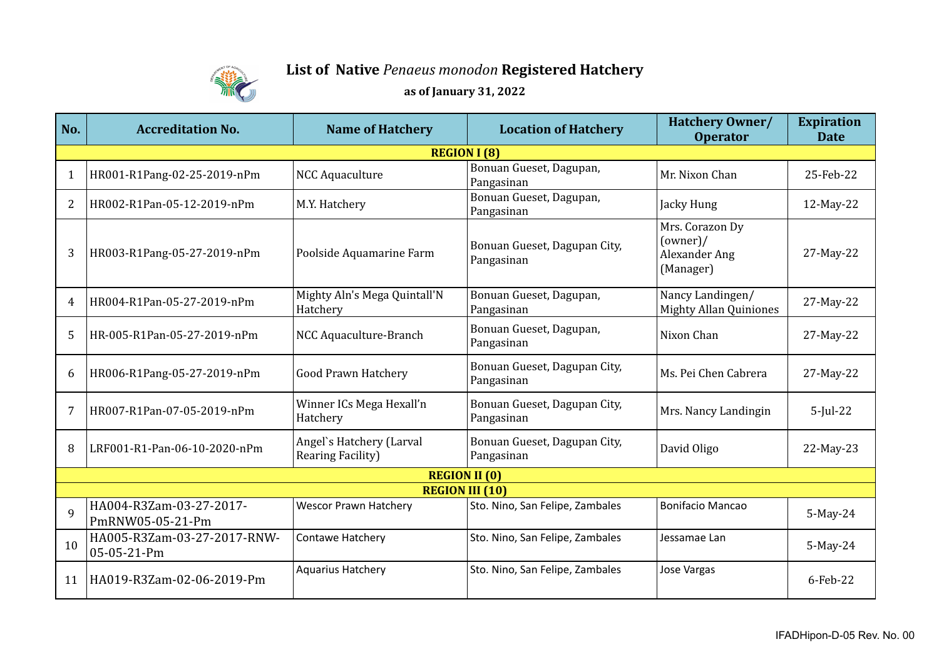

## **List of Native** *Penaeus monodon* **Registered Hatchery as of January 31, 2022**

| No.                    | <b>Accreditation No.</b>                    | <b>Name of Hatchery</b>                       | <b>Location of Hatchery</b>                | <b>Hatchery Owner/</b><br><b>Operator</b>                 | <b>Expiration</b><br><b>Date</b> |  |
|------------------------|---------------------------------------------|-----------------------------------------------|--------------------------------------------|-----------------------------------------------------------|----------------------------------|--|
| <b>REGION I (8)</b>    |                                             |                                               |                                            |                                                           |                                  |  |
| $\mathbf{1}$           | HR001-R1Pang-02-25-2019-nPm                 | <b>NCC Aquaculture</b>                        | Bonuan Gueset, Dagupan,<br>Pangasinan      | Mr. Nixon Chan                                            | 25-Feb-22                        |  |
| 2                      | HR002-R1Pan-05-12-2019-nPm                  | M.Y. Hatchery                                 | Bonuan Gueset, Dagupan,<br>Pangasinan      | Jacky Hung                                                | 12-May-22                        |  |
| 3                      | HR003-R1Pang-05-27-2019-nPm                 | Poolside Aquamarine Farm                      | Bonuan Gueset, Dagupan City,<br>Pangasinan | Mrs. Corazon Dy<br>(owner)/<br>Alexander Ang<br>(Manager) | 27-May-22                        |  |
| 4                      | HR004-R1Pan-05-27-2019-nPm                  | Mighty Aln's Mega Quintall'N<br>Hatchery      | Bonuan Gueset, Dagupan,<br>Pangasinan      | Nancy Landingen/<br><b>Mighty Allan Quiniones</b>         | 27-May-22                        |  |
| 5                      | HR-005-R1Pan-05-27-2019-nPm                 | NCC Aquaculture-Branch                        | Bonuan Gueset, Dagupan,<br>Pangasinan      | Nixon Chan                                                | 27-May-22                        |  |
| 6                      | HR006-R1Pang-05-27-2019-nPm                 | <b>Good Prawn Hatchery</b>                    | Bonuan Gueset, Dagupan City,<br>Pangasinan | Ms. Pei Chen Cabrera                                      | 27-May-22                        |  |
| 7                      | HR007-R1Pan-07-05-2019-nPm                  | Winner ICs Mega Hexall'n<br>Hatchery          | Bonuan Gueset, Dagupan City,<br>Pangasinan | Mrs. Nancy Landingin                                      | $5$ -Jul-22                      |  |
| 8                      | LRF001-R1-Pan-06-10-2020-nPm                | Angel's Hatchery (Larval<br>Rearing Facility) | Bonuan Gueset, Dagupan City,<br>Pangasinan | David Oligo                                               | 22-May-23                        |  |
| <b>REGION II (0)</b>   |                                             |                                               |                                            |                                                           |                                  |  |
| <b>REGION III (10)</b> |                                             |                                               |                                            |                                                           |                                  |  |
| 9                      | HA004-R3Zam-03-27-2017-<br>PmRNW05-05-21-Pm | <b>Wescor Prawn Hatchery</b>                  | Sto. Nino, San Felipe, Zambales            | <b>Bonifacio Mancao</b>                                   | 5-May-24                         |  |
| 10                     | HA005-R3Zam-03-27-2017-RNW-<br>05-05-21-Pm  | Contawe Hatchery                              | Sto. Nino, San Felipe, Zambales            | Jessamae Lan                                              | 5-May-24                         |  |
| 11                     | HA019-R3Zam-02-06-2019-Pm                   | <b>Aquarius Hatchery</b>                      | Sto. Nino, San Felipe, Zambales            | Jose Vargas                                               | 6-Feb-22                         |  |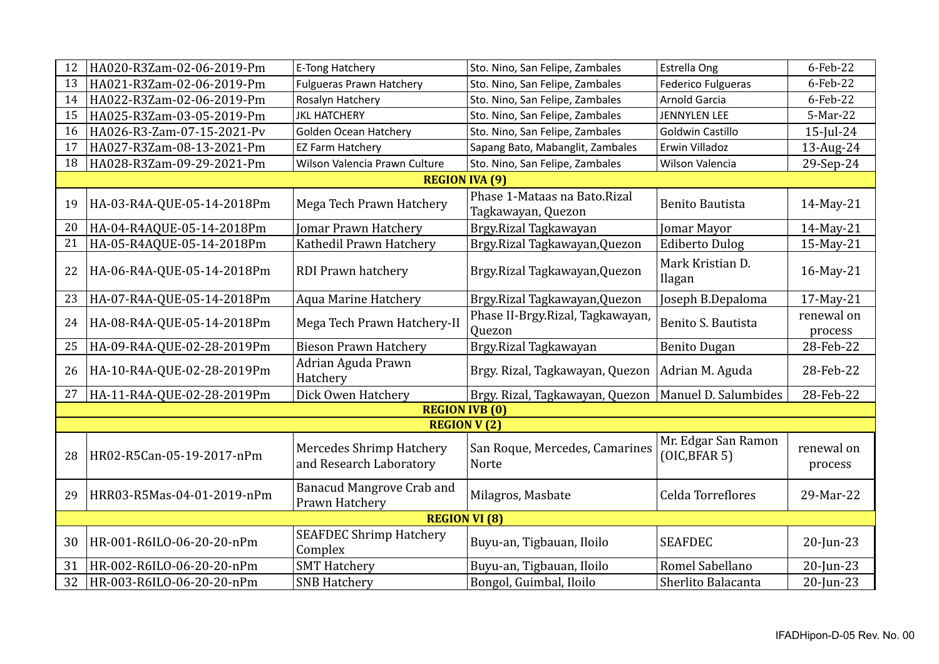| 12                    | HA020-R3Zam-02-06-2019-Pm  | E-Tong Hatchery                                            | Sto. Nino, San Felipe, Zambales                    | Estrella Ong                         | 6-Feb-22              |  |  |
|-----------------------|----------------------------|------------------------------------------------------------|----------------------------------------------------|--------------------------------------|-----------------------|--|--|
| 13                    | HA021-R3Zam-02-06-2019-Pm  | <b>Fulgueras Prawn Hatchery</b>                            | Sto. Nino, San Felipe, Zambales                    | <b>Federico Fulgueras</b>            | 6-Feb-22              |  |  |
| 14                    | HA022-R3Zam-02-06-2019-Pm  | Rosalyn Hatchery                                           | Sto. Nino, San Felipe, Zambales                    | Arnold Garcia                        | 6-Feb-22              |  |  |
| 15                    | HA025-R3Zam-03-05-2019-Pm  | <b>JKL HATCHERY</b>                                        | Sto. Nino, San Felipe, Zambales                    | <b>JENNYLEN LEE</b>                  | 5-Mar-22              |  |  |
| 16                    | HA026-R3-Zam-07-15-2021-Pv | Golden Ocean Hatchery                                      | Sto. Nino, San Felipe, Zambales                    | Goldwin Castillo                     | $15$ -Jul-24          |  |  |
| 17                    | HA027-R3Zam-08-13-2021-Pm  | <b>EZ Farm Hatchery</b>                                    | Sapang Bato, Mabanglit, Zambales                   | Erwin Villadoz                       | 13-Aug-24             |  |  |
| 18                    | HA028-R3Zam-09-29-2021-Pm  | Wilson Valencia Prawn Culture                              | Sto. Nino, San Felipe, Zambales                    | Wilson Valencia                      | 29-Sep-24             |  |  |
|                       | <b>REGION IVA (9)</b>      |                                                            |                                                    |                                      |                       |  |  |
| 19                    | HA-03-R4A-QUE-05-14-2018Pm | Mega Tech Prawn Hatchery                                   | Phase 1-Mataas na Bato.Rizal<br>Tagkawayan, Quezon | <b>Benito Bautista</b>               | 14-May-21             |  |  |
| 20                    | HA-04-R4AQUE-05-14-2018Pm  | Jomar Prawn Hatchery                                       | Brgy.Rizal Tagkawayan                              | Jomar Mayor                          | 14-May-21             |  |  |
| 21                    | HA-05-R4AQUE-05-14-2018Pm  | Kathedil Prawn Hatchery                                    | Brgy.Rizal Tagkawayan, Quezon                      | <b>Ediberto Dulog</b>                | 15-May-21             |  |  |
| 22                    | HA-06-R4A-QUE-05-14-2018Pm | RDI Prawn hatchery                                         | Brgy.Rizal Tagkawayan, Quezon                      | Mark Kristian D.<br><b>Ilagan</b>    | 16-May-21             |  |  |
| 23                    | HA-07-R4A-QUE-05-14-2018Pm | <b>Aqua Marine Hatchery</b>                                | Brgy.Rizal Tagkawayan, Quezon                      | Joseph B.Depaloma                    | 17-May-21             |  |  |
| 24                    | HA-08-R4A-QUE-05-14-2018Pm | Mega Tech Prawn Hatchery-II                                | Phase II-Brgy.Rizal, Tagkawayan,<br>Quezon         | Benito S. Bautista                   | renewal on<br>process |  |  |
| 25                    | HA-09-R4A-QUE-02-28-2019Pm | <b>Bieson Prawn Hatchery</b>                               | Brgy.Rizal Tagkawayan                              | <b>Benito Dugan</b>                  | 28-Feb-22             |  |  |
| 26                    | HA-10-R4A-QUE-02-28-2019Pm | Adrian Aguda Prawn<br>Hatchery                             | Brgy. Rizal, Tagkawayan, Quezon                    | Adrian M. Aguda                      | 28-Feb-22             |  |  |
| 27                    | HA-11-R4A-QUE-02-28-2019Pm | Dick Owen Hatchery                                         | Brgy. Rizal, Tagkawayan, Quezon                    | Manuel D. Salumbides                 | 28-Feb-22             |  |  |
| <b>REGION IVB (0)</b> |                            |                                                            |                                                    |                                      |                       |  |  |
|                       |                            | <b>REGION V(2)</b>                                         |                                                    |                                      |                       |  |  |
| 28                    | HR02-R5Can-05-19-2017-nPm  | <b>Mercedes Shrimp Hatchery</b><br>and Research Laboratory | San Roque, Mercedes, Camarines<br><b>Norte</b>     | Mr. Edgar San Ramon<br>(OIC, BFAR 5) | renewal on<br>process |  |  |
| 29                    | HRR03-R5Mas-04-01-2019-nPm | <b>Banacud Mangrove Crab and</b><br>Prawn Hatchery         | Milagros, Masbate                                  | Celda Torreflores                    | 29-Mar-22             |  |  |
| <b>REGION VI (8)</b>  |                            |                                                            |                                                    |                                      |                       |  |  |
| 30                    | HR-001-R6ILO-06-20-20-nPm  | <b>SEAFDEC Shrimp Hatchery</b><br>Complex                  | Buyu-an, Tigbauan, Iloilo                          | <b>SEAFDEC</b>                       | 20-Jun-23             |  |  |
| 31                    | HR-002-R6ILO-06-20-20-nPm  | <b>SMT Hatchery</b>                                        | Buyu-an, Tigbauan, Iloilo                          | Romel Sabellano                      | $20$ -Jun-23          |  |  |
| 32                    | HR-003-R6ILO-06-20-20-nPm  | <b>SNB Hatchery</b>                                        | Bongol, Guimbal, Iloilo                            | Sherlito Balacanta                   | $20$ -Jun-23          |  |  |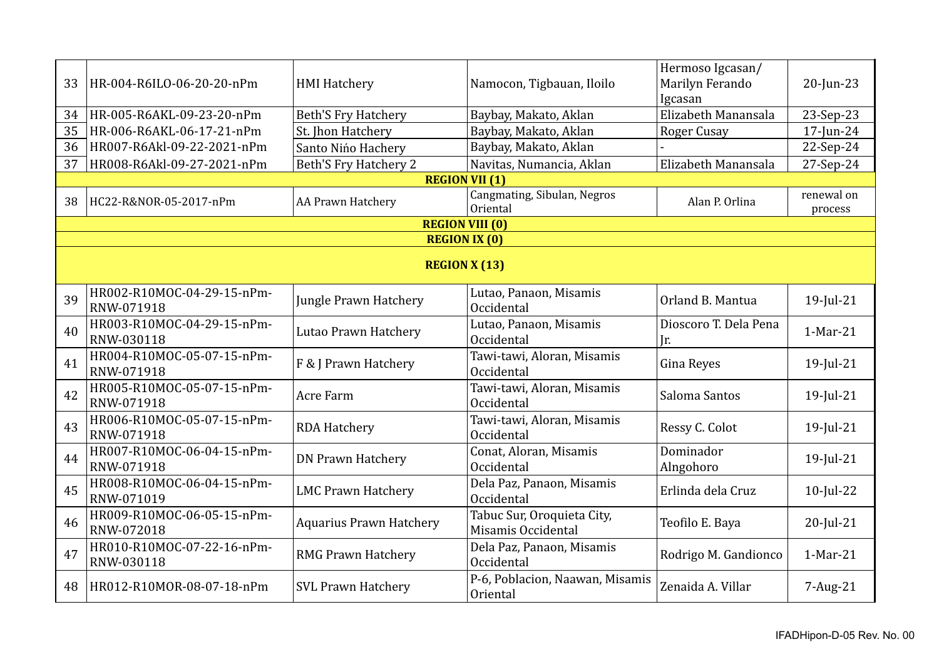| 33 | HR-004-R6ILO-06-20-20-nPm                       | <b>HMI Hatchery</b>            | Namocon, Tigbauan, Iloilo                        | Hermoso Igcasan/<br>Marilyn Ferando<br>Igcasan | 20-Jun-23             |  |  |
|----|-------------------------------------------------|--------------------------------|--------------------------------------------------|------------------------------------------------|-----------------------|--|--|
| 34 | HR-005-R6AKL-09-23-20-nPm                       | <b>Beth'S Fry Hatchery</b>     | Baybay, Makato, Aklan                            | Elizabeth Manansala                            | 23-Sep-23             |  |  |
| 35 | HR-006-R6AKL-06-17-21-nPm                       | St. Jhon Hatchery              | Baybay, Makato, Aklan                            | <b>Roger Cusay</b>                             | 17-Jun-24             |  |  |
| 36 | HR007-R6Akl-09-22-2021-nPm                      | Santo Nińo Hachery             | Baybay, Makato, Aklan                            |                                                | 22-Sep-24             |  |  |
| 37 | HR008-R6Akl-09-27-2021-nPm                      | <b>Beth'S Fry Hatchery 2</b>   | Navitas, Numancia, Aklan                         | Elizabeth Manansala                            | 27-Sep-24             |  |  |
|    |                                                 | <b>REGION VII (1)</b>          |                                                  |                                                |                       |  |  |
| 38 | HC22-R&NOR-05-2017-nPm                          | AA Prawn Hatchery              | <b>Cangmating, Sibulan, Negros</b><br>Oriental   | Alan P. Orlina                                 | renewal on<br>process |  |  |
|    |                                                 | <b>REGION VIII (0)</b>         |                                                  |                                                |                       |  |  |
|    |                                                 | <b>REGION IX (0)</b>           |                                                  |                                                |                       |  |  |
|    | <b>REGION X (13)</b>                            |                                |                                                  |                                                |                       |  |  |
| 39 | HR002-R10MOC-04-29-15-nPm-<br><b>RNW-071918</b> | Jungle Prawn Hatchery          | Lutao, Panaon, Misamis<br>Occidental             | Orland B. Mantua                               | 19-Jul-21             |  |  |
| 40 | HR003-R10MOC-04-29-15-nPm-<br>RNW-030118        | Lutao Prawn Hatchery           | Lutao, Panaon, Misamis<br>Occidental             | Dioscoro T. Dela Pena<br>Ir.                   | 1-Mar-21              |  |  |
| 41 | HR004-R10MOC-05-07-15-nPm-<br>RNW-071918        | F & J Prawn Hatchery           | Tawi-tawi, Aloran, Misamis<br>Occidental         | Gina Reyes                                     | 19-Jul-21             |  |  |
| 42 | HR005-R10MOC-05-07-15-nPm-<br>RNW-071918        | Acre Farm                      | Tawi-tawi, Aloran, Misamis<br>Occidental         | Saloma Santos                                  | 19-Jul-21             |  |  |
| 43 | HR006-R10MOC-05-07-15-nPm-<br>RNW-071918        | <b>RDA Hatchery</b>            | Tawi-tawi, Aloran, Misamis<br>Occidental         | Ressy C. Colot                                 | 19-Jul-21             |  |  |
| 44 | HR007-R10MOC-06-04-15-nPm-<br>RNW-071918        | <b>DN Prawn Hatchery</b>       | Conat, Aloran, Misamis<br>Occidental             | Dominador<br>Alngohoro                         | 19-Jul-21             |  |  |
| 45 | HR008-R10MOC-06-04-15-nPm-<br><b>RNW-071019</b> | <b>LMC Prawn Hatchery</b>      | Dela Paz, Panaon, Misamis<br>Occidental          | Erlinda dela Cruz                              | $10$ -Jul-22          |  |  |
| 46 | HR009-R10MOC-06-05-15-nPm-<br>RNW-072018        | <b>Aquarius Prawn Hatchery</b> | Tabuc Sur, Oroquieta City,<br>Misamis Occidental | Teofilo E. Baya                                | $20$ -Jul-21          |  |  |
| 47 | HR010-R10MOC-07-22-16-nPm-<br>RNW-030118        | <b>RMG Prawn Hatchery</b>      | Dela Paz, Panaon, Misamis<br>Occidental          | Rodrigo M. Gandionco                           | $1-Mar-21$            |  |  |
| 48 | HR012-R10MOR-08-07-18-nPm                       | <b>SVL Prawn Hatchery</b>      | P-6, Poblacion, Naawan, Misamis<br>Oriental      | Zenaida A. Villar                              | 7-Aug-21              |  |  |